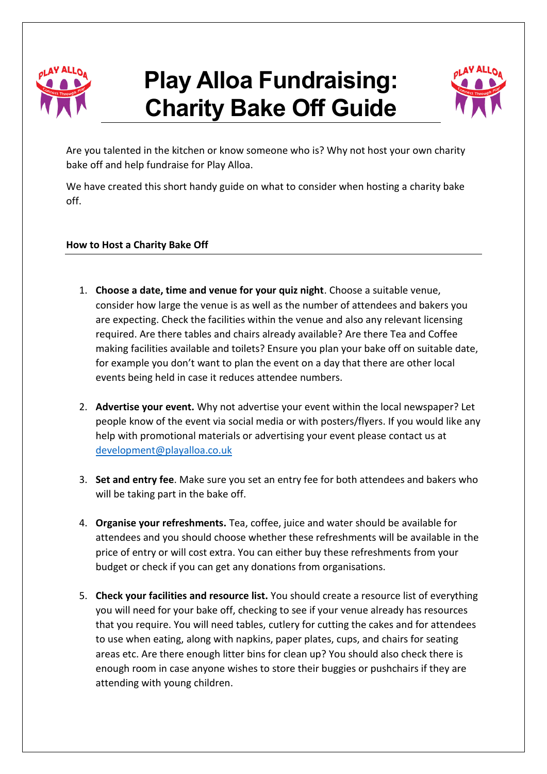

## **Play Alloa Fundraising: Charity Bake Off Guide**



Are you talented in the kitchen or know someone who is? Why not host your own charity bake off and help fundraise for Play Alloa.

We have created this short handy guide on what to consider when hosting a charity bake off.

## **How to Host a Charity Bake Off**

- 1. **Choose a date, time and venue for your quiz night**. Choose a suitable venue, consider how large the venue is as well as the number of attendees and bakers you are expecting. Check the facilities within the venue and also any relevant licensing required. Are there tables and chairs already available? Are there Tea and Coffee making facilities available and toilets? Ensure you plan your bake off on suitable date, for example you don't want to plan the event on a day that there are other local events being held in case it reduces attendee numbers.
- 2. **Advertise your event.** Why not advertise your event within the local newspaper? Let people know of the event via social media or with posters/flyers. If you would like any help with promotional materials or advertising your event please contact us at [development@playalloa.co.uk](mailto:development@playalloa.co.uk)
- 3. **Set and entry fee**. Make sure you set an entry fee for both attendees and bakers who will be taking part in the bake off.
- 4. **Organise your refreshments.** Tea, coffee, juice and water should be available for attendees and you should choose whether these refreshments will be available in the price of entry or will cost extra. You can either buy these refreshments from your budget or check if you can get any donations from organisations.
- 5. **Check your facilities and resource list.** You should create a resource list of everything you will need for your bake off, checking to see if your venue already has resources that you require. You will need tables, cutlery for cutting the cakes and for attendees to use when eating, along with napkins, paper plates, cups, and chairs for seating areas etc. Are there enough litter bins for clean up? You should also check there is enough room in case anyone wishes to store their buggies or pushchairs if they are attending with young children.